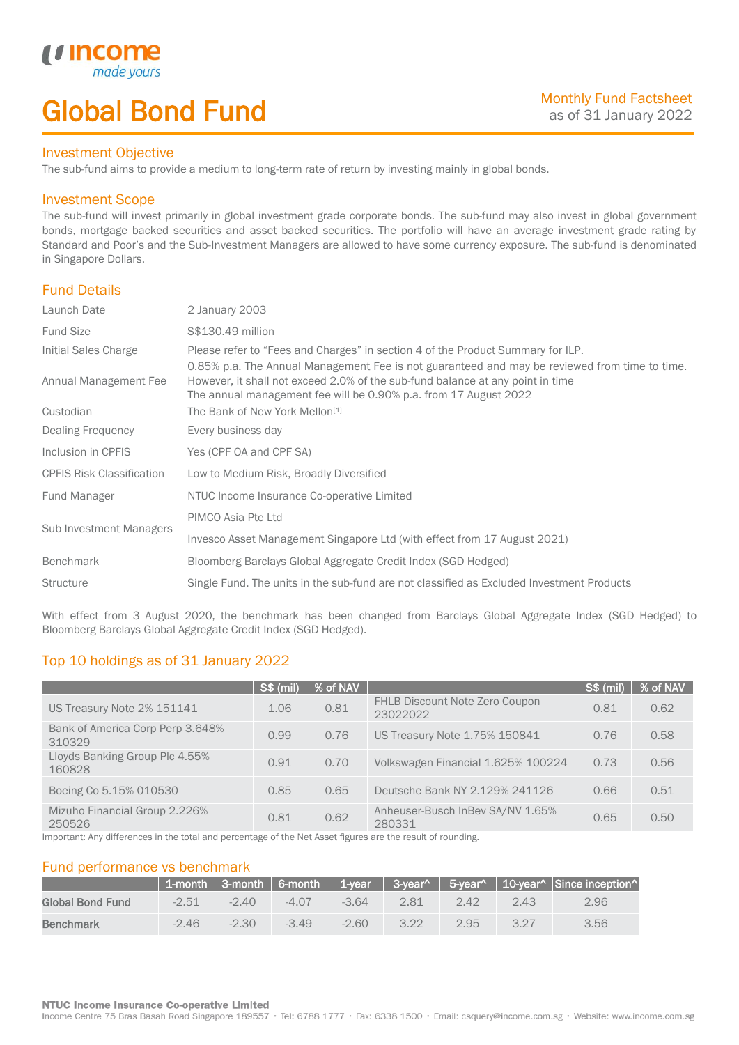# Global Bond Fund

### Investment Objective

made yo

*u* incom

I

The sub-fund aims to provide a medium to long-term rate of return by investing mainly in global bonds.

### Investment Scope

The sub-fund will invest primarily in global investment grade corporate bonds. The sub-fund may also invest in global government bonds, mortgage backed securities and asset backed securities. The portfolio will have an average investment grade rating by Standard and Poor's and the Sub-Investment Managers are allowed to have some currency exposure. The sub-fund is denominated in Singapore Dollars.

## Fund Details

| Launch Date                      | 2 January 2003                                                                                                                                                                                                                                      |
|----------------------------------|-----------------------------------------------------------------------------------------------------------------------------------------------------------------------------------------------------------------------------------------------------|
| <b>Fund Size</b>                 | S\$130.49 million                                                                                                                                                                                                                                   |
| Initial Sales Charge             | Please refer to "Fees and Charges" in section 4 of the Product Summary for ILP.                                                                                                                                                                     |
| Annual Management Fee            | 0.85% p.a. The Annual Management Fee is not guaranteed and may be reviewed from time to time.<br>However, it shall not exceed 2.0% of the sub-fund balance at any point in time<br>The annual management fee will be 0.90% p.a. from 17 August 2022 |
| Custodian                        | The Bank of New York Mellon <sup>[1]</sup>                                                                                                                                                                                                          |
| Dealing Frequency                | Every business day                                                                                                                                                                                                                                  |
| Inclusion in CPFIS               | Yes (CPF OA and CPF SA)                                                                                                                                                                                                                             |
| <b>CPFIS Risk Classification</b> | Low to Medium Risk, Broadly Diversified                                                                                                                                                                                                             |
| Fund Manager                     | NTUC Income Insurance Co-operative Limited                                                                                                                                                                                                          |
| Sub Investment Managers          | PIMCO Asia Pte Ltd                                                                                                                                                                                                                                  |
|                                  | Invesco Asset Management Singapore Ltd (with effect from 17 August 2021)                                                                                                                                                                            |
| <b>Benchmark</b>                 | Bloomberg Barclays Global Aggregate Credit Index (SGD Hedged)                                                                                                                                                                                       |
| <b>Structure</b>                 | Single Fund. The units in the sub-fund are not classified as Excluded Investment Products                                                                                                                                                           |
|                                  |                                                                                                                                                                                                                                                     |

With effect from 3 August 2020, the benchmark has been changed from Barclays Global Aggregate Index (SGD Hedged) to Bloomberg Barclays Global Aggregate Credit Index (SGD Hedged).

# Top 10 holdings as of 31 January 2022

|                                            | <b>S\$ (mil)</b> | % of NAV |                                                   | <b>S\$ (mil)</b> | % of NAV |
|--------------------------------------------|------------------|----------|---------------------------------------------------|------------------|----------|
| US Treasury Note 2% 151141                 | 1.06             | 0.81     | <b>FHLB Discount Note Zero Coupon</b><br>23022022 | 0.81             | 0.62     |
| Bank of America Corp Perp 3.648%<br>310329 | 0.99             | 0.76     | US Treasury Note 1.75% 150841                     | 0.76             | 0.58     |
| Lloyds Banking Group Plc 4.55%<br>160828   | 0.91             | 0.70     | Volkswagen Financial 1.625% 100224                | 0.73             | 0.56     |
| Boeing Co 5.15% 010530                     | 0.85             | 0.65     | Deutsche Bank NY 2.129% 241126                    | 0.66             | 0.51     |
| Mizuho Financial Group 2.226%<br>250526    | 0.81             | 0.62     | Anheuser-Busch InBev SA/NV 1.65%<br>280331        | 0.65             | 0.50     |

Important: Any differences in the total and percentage of the Net Asset figures are the result of rounding.

## Fund performance vs benchmark

|                  |         |         |         |         |      |      |      | 1-month 3-month 6-month 1-year 3-year^ 5-year^ 10-year^ Since inception^ |
|------------------|---------|---------|---------|---------|------|------|------|--------------------------------------------------------------------------|
| Global Bond Fund | $-2.51$ | $-2.40$ | $-4.07$ | $-3.64$ | 2.81 | 2.42 | 2.43 | 2.96                                                                     |
| <b>Benchmark</b> | $-2.46$ | $-2.30$ | $-3.49$ | $-2.60$ | 3.22 | 2.95 | 3.27 | 3.56                                                                     |